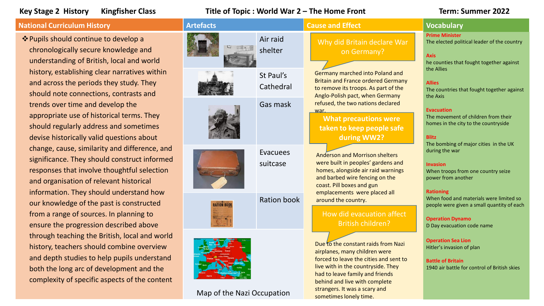# **Key Stage 2 History Kingfisher Class Title of Topic : World War 2 – The Home Front Term: Summer 2022**

Map of the Nazi Occupation

## **National Curriculum History Artefacts Artefacts Artefacts Artefacts Artefacts Artefacts Vocabulary**

Pupils should continue to develop a chronologically secure knowledge and understanding of British, local and world history, establishing clear narratives within and across the periods they study. They should note connections, contrasts and trends over time and develop the appropriate use of historical terms. They should regularly address and sometimes devise historically valid questions about change, cause, similarity and difference, and significance. They should construct informed responses that involve thoughtful selection and organisation of relevant historical information. They should understand how our knowledge of the past is constructed from a range of sources. In planning to ensure the progression described above through teaching the British, local and world history, teachers should combine overview and depth studies to help pupils understand both the long arc of development and the complexity of specific aspects of the content

| tefacts            |                             | <b>Cause and Effect</b>                                                                                                                                                                                                                                   | <b>Vocabulary</b>                                                                                                                                         |
|--------------------|-----------------------------|-----------------------------------------------------------------------------------------------------------------------------------------------------------------------------------------------------------------------------------------------------------|-----------------------------------------------------------------------------------------------------------------------------------------------------------|
|                    | Air raid<br>shelter         | Why did Britain declare War<br>on Germany?                                                                                                                                                                                                                | <b>Prime Minister</b><br>The elected political leader of the country<br><b>Axis</b><br>he counties that fought together against                           |
|                    | St Paul's<br>Cathedral      | Germany marched into Poland and<br><b>Britain and France ordered Germany</b><br>to remove its troops. As part of the<br>Anglo-Polish pact, when Germany                                                                                                   | the Allies<br><b>Allies</b><br>The countries that fought together against<br>the Axis                                                                     |
|                    | Gas mask                    | refused, the two nations declared<br>war.<br><b>What precautions were</b><br>taken to keep people safe<br>during WW2?                                                                                                                                     | <b>Evacuation</b><br>The movement of children from their<br>homes in the city to the countryside<br><b>Blitz</b><br>The bombing of major cities in the UK |
|                    | <b>Evacuees</b><br>suitcase | <b>Anderson and Morrison shelters</b><br>were built in peoples' gardens and<br>homes, alongside air raid warnings<br>and barbed wire fencing on the<br>coast. Pill boxes and gun                                                                          | during the war<br><b>Invasion</b><br>When troops from one country seize<br>power from another<br><b>Rationing</b>                                         |
| <b>RATION BOOK</b> | <b>Ration book</b>          | emplacements were placed all<br>around the country.<br>How did evacuation affect<br><b>British children?</b>                                                                                                                                              | When food and materials were limited so<br>people were given a small quantity of each<br><b>Operation Dynamo</b><br>D Day evacuation code name            |
|                    |                             | Due to the constant raids from Nazi<br>airplanes, many children were<br>forced to leave the cities and sent to<br>live with in the countryside. They<br>had to leave family and friends<br>behind and live with complete<br>strangers. It was a scary and | <b>Operation Sea Lion</b><br>Hitler's invasion of plan<br><b>Battle of Britain</b><br>1940 air battle for control of British skies                        |

sometimes lonely time.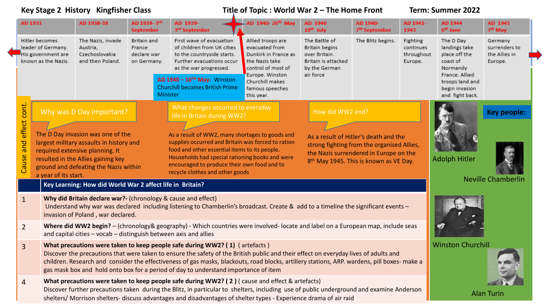| Key Stage 2 History Kingfisher Class                                                                                                                                                                                                                                                                                                                                                                                                                                                                                                                                                                                                                                                                                                                                                                                                                      |                                                                                                                                                                                                                                                                                                                                                                                                                                                            |                                                                  | Title of Topic: World War 2 – The Home Front                                                                                                                                                                                                                                                                                                                    |  |                                                                                                     |                                                                                          | Term: Summer 2022                     |                                                |                                                                        |                                                      |
|-----------------------------------------------------------------------------------------------------------------------------------------------------------------------------------------------------------------------------------------------------------------------------------------------------------------------------------------------------------------------------------------------------------------------------------------------------------------------------------------------------------------------------------------------------------------------------------------------------------------------------------------------------------------------------------------------------------------------------------------------------------------------------------------------------------------------------------------------------------|------------------------------------------------------------------------------------------------------------------------------------------------------------------------------------------------------------------------------------------------------------------------------------------------------------------------------------------------------------------------------------------------------------------------------------------------------------|------------------------------------------------------------------|-----------------------------------------------------------------------------------------------------------------------------------------------------------------------------------------------------------------------------------------------------------------------------------------------------------------------------------------------------------------|--|-----------------------------------------------------------------------------------------------------|------------------------------------------------------------------------------------------|---------------------------------------|------------------------------------------------|------------------------------------------------------------------------|------------------------------------------------------|
| AD 1933                                                                                                                                                                                                                                                                                                                                                                                                                                                                                                                                                                                                                                                                                                                                                                                                                                                   | AD 1938-39                                                                                                                                                                                                                                                                                                                                                                                                                                                 | AD 1939-3rd<br><b>September</b>                                  | AD 1939-<br>3 <sup>rd</sup> September                                                                                                                                                                                                                                                                                                                           |  | AD 1940-26 <sup>th</sup> May                                                                        | AD 1940<br>10 <sup>th</sup> July                                                         | AD 1940-<br>7 <sup>th</sup> September | AD 1941-<br>1943                               | AD 1944<br>6 <sup>th</sup> June                                        | AD 1945<br>7 <sup>th</sup> May                       |
| Hitler becomes<br>The Nazis, invade<br>leader of Germany.<br>Austria,<br>His government are<br>Czechoslovakia<br>known as the Nazis.<br>and then Poland.                                                                                                                                                                                                                                                                                                                                                                                                                                                                                                                                                                                                                                                                                                  |                                                                                                                                                                                                                                                                                                                                                                                                                                                            | Britain and<br>France<br>declare war<br>on Germany.              | First wave of evacuation<br>of children from UK cities<br>to the countryside starts.<br>Further evacuations occur<br>as the war progressed.                                                                                                                                                                                                                     |  | Allied troops are<br>evacuated from<br>Dunkirk in France as<br>the Nazis take<br>control of most of | The Battle of<br>Britain begins<br>over Britain.<br>Britain is attacked<br>by the German | The Blitz begins.                     | Fighting<br>continues<br>throughout<br>Europe. | The D Day<br>landings take<br>place off the<br>coast of<br>Normandy    | Germany<br>surrenders to<br>the Allies in<br>Europe. |
|                                                                                                                                                                                                                                                                                                                                                                                                                                                                                                                                                                                                                                                                                                                                                                                                                                                           |                                                                                                                                                                                                                                                                                                                                                                                                                                                            |                                                                  | AD $1940 - 10^{TH}$ May- Winston<br><b>Churchill becomes British Prime</b><br>Minister                                                                                                                                                                                                                                                                          |  | Europe. Winston<br>Churchill makes<br>famous speeches<br>this year.                                 | air force                                                                                |                                       |                                                | France. Allied<br>troops land and<br>begin invasion<br>and fight back. |                                                      |
| cont.<br>Why was D Day important?                                                                                                                                                                                                                                                                                                                                                                                                                                                                                                                                                                                                                                                                                                                                                                                                                         |                                                                                                                                                                                                                                                                                                                                                                                                                                                            | What changes occurred to everyday<br>life in Britain during WW2? |                                                                                                                                                                                                                                                                                                                                                                 |  | How did WW2 end?                                                                                    |                                                                                          |                                       | <b>Key people:</b>                             |                                                                        |                                                      |
| effect<br>The D Day invasion was one of the<br>As a result of WW2, many shortages to goods and<br>As a result of Hitler's death and the<br>and<br>supplies occurred and Britain was forced to ration<br>largest military assaults in history and<br>strong fighting from the organised Allies,<br>food and other essential items to its people.<br>required extensive planning. It<br>the Nazis surrendered in Europe on the<br>Cause<br>Households had special rationing books and were<br><b>Adolph Hitler</b><br>resulted in the Allies gaining key<br>8 <sup>th</sup> May 1945. This is known as VE Day.<br>encouraged to produce their own food and to<br>ground and defeating the Nazis within<br>recycle clothes and other goods<br>a year of its start.<br><b>Neville Chamberlin</b><br>Key Learning: How did World War 2 affect life in Britain? |                                                                                                                                                                                                                                                                                                                                                                                                                                                            |                                                                  |                                                                                                                                                                                                                                                                                                                                                                 |  |                                                                                                     |                                                                                          |                                       |                                                |                                                                        |                                                      |
| $\mathbf{1}$                                                                                                                                                                                                                                                                                                                                                                                                                                                                                                                                                                                                                                                                                                                                                                                                                                              | invasion of Poland, war declared.                                                                                                                                                                                                                                                                                                                                                                                                                          |                                                                  | Why did Britain declare war?- (chronology & cause and effect)<br>Understand why war was declared including listening to Chamberlin's broadcast. Create & add to a timeline the significant events -                                                                                                                                                             |  |                                                                                                     |                                                                                          |                                       |                                                |                                                                        |                                                      |
| $\overline{2}$                                                                                                                                                                                                                                                                                                                                                                                                                                                                                                                                                                                                                                                                                                                                                                                                                                            | Where did WW2 begin? - (chronology& geography) - Which countries were involved-locate and label on a European map, include seas<br>and capital cities - vocab - distinguish between axis and allies                                                                                                                                                                                                                                                        |                                                                  |                                                                                                                                                                                                                                                                                                                                                                 |  |                                                                                                     |                                                                                          |                                       |                                                |                                                                        |                                                      |
| $\overline{3}$                                                                                                                                                                                                                                                                                                                                                                                                                                                                                                                                                                                                                                                                                                                                                                                                                                            | What precautions were taken to keep people safe during WW2? (1) (artefacts)<br>Discover the precautions that were taken to ensure the safety of the British public and their effect on everyday lives of adults and<br>children. Research and consider the effectiveness of gas masks, blackouts, road blocks, artillery stations, ARP. wardens, pill boxes- make a<br>gas mask box and hold onto box for a period of day to understand importance of item |                                                                  |                                                                                                                                                                                                                                                                                                                                                                 |  |                                                                                                     |                                                                                          |                                       |                                                | <b>Winston Churchill</b>                                               |                                                      |
| 4                                                                                                                                                                                                                                                                                                                                                                                                                                                                                                                                                                                                                                                                                                                                                                                                                                                         |                                                                                                                                                                                                                                                                                                                                                                                                                                                            |                                                                  | What precautions were taken to keep people safe during WW2? (2) (cause and effect & artefacts)<br>Discover further precautions taken during the Blitz, in particular to shelters, including use of public underground and examine Anderson<br>shelters/ Morrison shelters- discuss advantages and disadvantages of shelter types - Experience drama of air raid |  |                                                                                                     |                                                                                          |                                       |                                                |                                                                        | <b>Alan Turin</b>                                    |